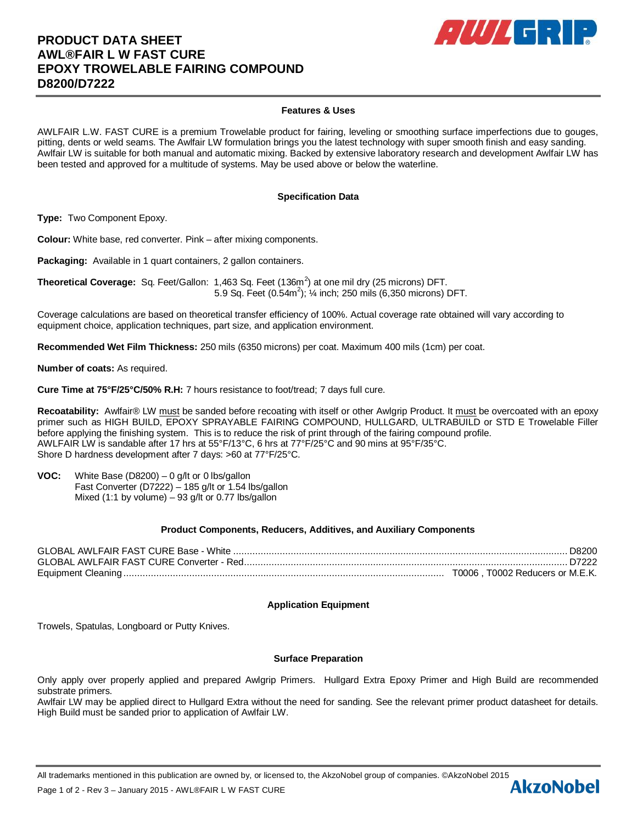# **PRODUCT DATA SHEET AWL®FAIR L W FAST CURE EPOXY TROWELABLE FAIRING COMPOUND D8200/D7222**



# **Features & Uses**

AWLFAIR L.W. FAST CURE is a premium Trowelable product for fairing, leveling or smoothing surface imperfections due to gouges, pitting, dents or weld seams. The Awlfair LW formulation brings you the latest technology with super smooth finish and easy sanding. Awlfair LW is suitable for both manual and automatic mixing. Backed by extensive laboratory research and development Awlfair LW has been tested and approved for a multitude of systems. May be used above or below the waterline.

## **Specification Data**

**Type:** Two Component Epoxy.

**Colour:** White base, red converter. Pink – after mixing components.

**Packaging:** Available in 1 quart containers, 2 gallon containers.

**Theoretical Coverage:** Sq. Feet/Gallon: 1,463 Sq. Feet (136m<sup>2</sup>) at one mil dry (25 microns) DFT. 5.9 Sq. Feet  $(0.54m^2)$ ;  $\frac{1}{4}$  inch; 250 mils  $(6,350 \text{ microns})$  DFT.

Coverage calculations are based on theoretical transfer efficiency of 100%. Actual coverage rate obtained will vary according to equipment choice, application techniques, part size, and application environment.

**Recommended Wet Film Thickness:** 250 mils (6350 microns) per coat. Maximum 400 mils (1cm) per coat.

**Number of coats:** As required.

**Cure Time at 75°F/25°C/50% R.H:** 7 hours resistance to foot/tread; 7 days full cure.

Recoatability: Awlfair® LW must be sanded before recoating with itself or other Awlgrip Product. It must be overcoated with an epoxy primer such as HIGH BUILD, EPOXY SPRAYABLE FAIRING COMPOUND, HULLGARD, ULTRABUILD or STD E Trowelable Filler before applying the finishing system. This is to reduce the risk of print through of the fairing compound profile. AWLFAIR LW is sandable after 17 hrs at 55°F/13°C, 6 hrs at 77°F/25°C and 90 mins at 95°F/35°C. Shore D hardness development after 7 days: >60 at 77°F/25°C.

**VOC:** White Base (D8200) – 0 g/lt or 0 lbs/gallon Fast Converter (D7222) – 185 g/lt or 1.54 lbs/gallon Mixed (1:1 by volume) – 93 g/lt or 0.77 lbs/gallon

## **Product Components, Reducers, Additives, and Auxiliary Components**

| . T0006 . T0002 Reducers or M.E.K. |
|------------------------------------|

### **Application Equipment**

Trowels, Spatulas, Longboard or Putty Knives.

#### **Surface Preparation**

Only apply over properly applied and prepared Awlgrip Primers. Hullgard Extra Epoxy Primer and High Build are recommended substrate primers.

Awlfair LW may be applied direct to Hullgard Extra without the need for sanding. See the relevant primer product datasheet for details. High Build must be sanded prior to application of Awlfair LW.